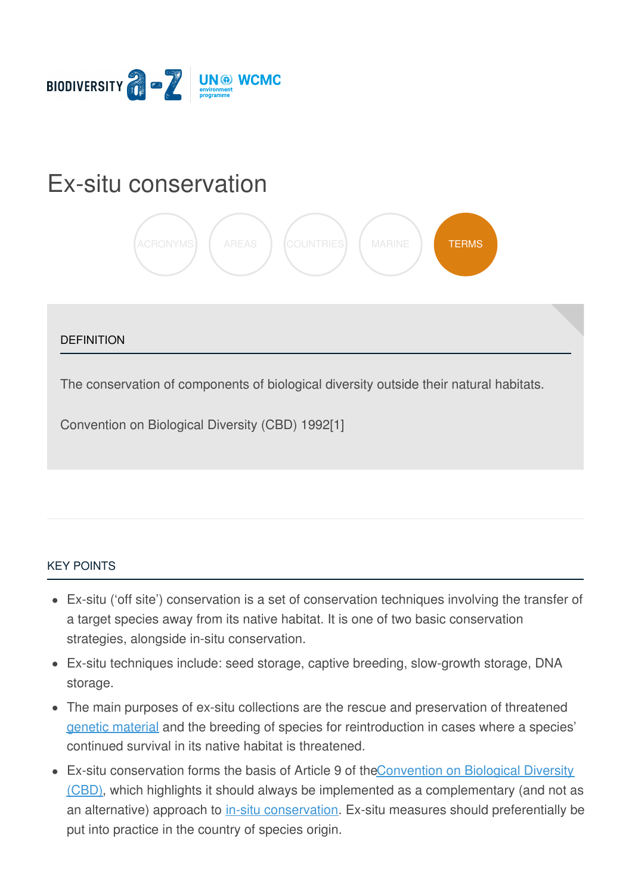

# Ex-situ [conservation](https://biodiversitya-z.org/content/ex-situ-conservation)



#### **DEFINITION**

The conservation of components of biological diversity outside their natural habitats.

Convention on Biological Diversity (CBD) 1992[1]

#### KEY [POINTS](javascript:void(0))

- Ex-situ ('off site') conservation is a set of conservation techniques involving the transfer of a target species away from its native habitat. It is one of two basic conservation strategies, alongside in-situ conservation.
- Ex-situ techniques include: seed storage, captive breeding, slow-growth storage, DNA storage.
- The main purposes of ex-situ collections are the rescue and preservation of threatened genetic [material](http://biodiversitya-z.org/content/genetic-material) and the breeding of species for reintroduction in cases where a species' continued survival in its native habitat is threatened.
- Ex-situ conservation forms the basis of Article 9 of the Convention on Biological Div[ersity](file:///tmp/.page-wrap.with-gradient) (CBD), which highlights it should always be implemented as a [complementary](http://biodiversitya-z.org/content/convention-on-biological-diversity-cbd) (and not as an alternative) approach to in-situ [conservation](http://biodiversitya-z.org/content/in-situ-conservation). Ex-situ measures should preferentially be put into practice in the country of species origin.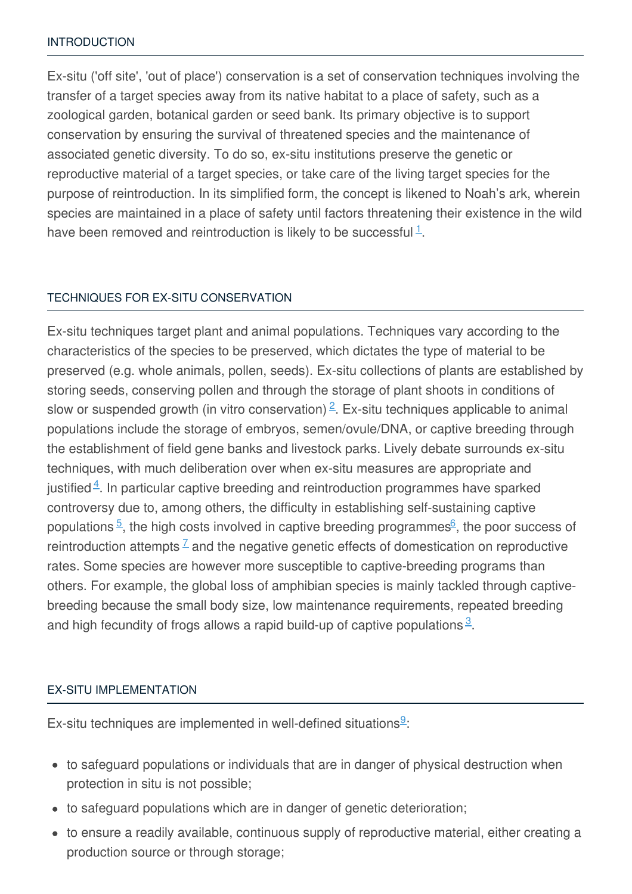#### [INTRODUCTION](javascript:void(0))

Ex-situ ('off site', 'out of place') conservation is a set of conservation techniques involving the transfer of a target species away from its native habitat to a place of safety, such as a zoological garden, botanical garden or seed bank. Its primary objective is to support conservation by ensuring the survival of threatened species and the maintenance of associated genetic diversity. To do so, ex-situ institutions preserve the genetic or reproductive material of a target species, or take care of the living target species for the purpose of reintroduction. In its simplified form, the concept is likened to Noah's ark, wherein species are maintained in a place of safety until factors threatening their existence in the wild have been removed and reintroduction is likely to be successful  $\frac{1}{1}$  $\frac{1}{1}$  $\frac{1}{1}$ .

#### TECHNIQUES FOR EX-SITU [CONSERVATION](javascript:void(0))

Ex-situ techniques target plant and animal populations. Techniques vary according to the characteristics of the species to be preserved, which dictates the type of material to be preserved (e.g. whole animals, pollen, seeds). Ex-situ collections of plants are established by storing seeds, conserving pollen and through the storage of plant shoots in conditions of slow or suspended growth (in vitro conservation)<sup>[2](#page-3-1)</sup>. Ex-situ techniques applicable to animal populations include the storage of embryos, semen/ovule/DNA, or captive breeding through the establishment of field gene banks and livestock parks. Lively debate surrounds ex-situ techniques, with much deliberation over when ex-situ measures are appropriate and justified $4$ . In particular captive breeding and reintroduction programmes have sparked controversy due to, among others, the difficulty in establishing self-sustaining captive populations  $\frac{5}{5}$  $\frac{5}{5}$  $\frac{5}{5}$ , the high costs involved in captive breeding programmes  $6$ , the poor success of reintroduction attempts  $\frac{7}{5}$  $\frac{7}{5}$  $\frac{7}{5}$  and the negative genetic effects of domestication on reproductive rates. Some species are however more susceptible to captive-breeding programs than others. For example, the global loss of amphibian species is mainly tackled through captivebreeding because the small body size, low maintenance requirements, repeated breeding and high fecundity of frogs allows a rapid build-up of captive populations  $3$ .

#### EX-SITU [IMPLEMENTATION](javascript:void(0))

Ex-situ techniques are implemented in well-defined situations $9$ :

- to safeguard populations or individuals that are in danger of physical destruction when protection in situ is not possible;
- to safeguard populations which are in danger of genetic deterioration;
- to ensure a readily available, continuous supply of reproductive material, either creating a production source or through storage;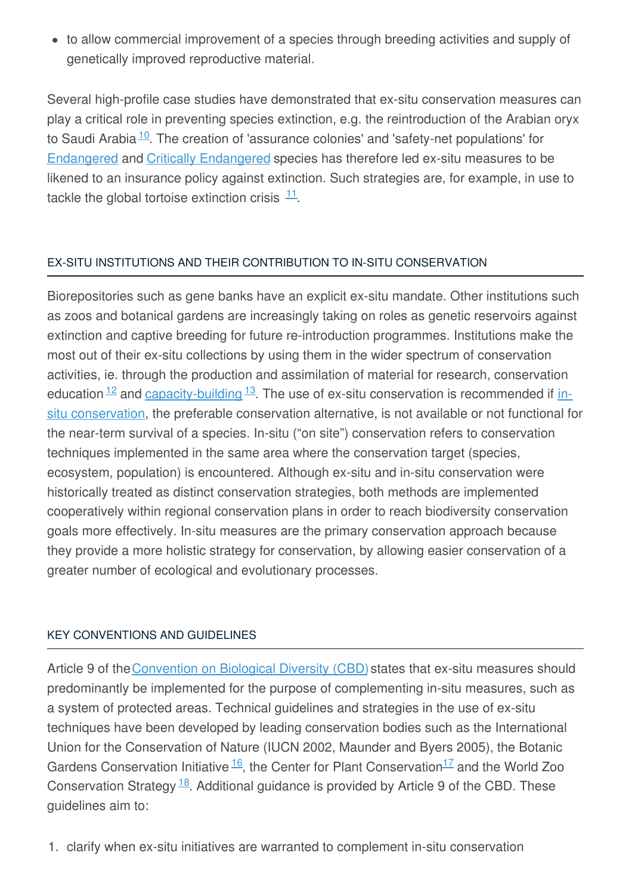• to allow commercial improvement of a species through breeding activities and supply of genetically improved reproductive material.

Several high-profile case studies have demonstrated that ex-situ conservation measures can play a critical role in preventing species extinction, e.g. the reintroduction of the Arabian oryx to Saudi Arabia<sup>[10](#page-3-8)</sup>. The creation of 'assurance colonies' and 'safety-net populations' for [Endangered](http://biodiversitya-z.org/content/endangered-en) and Critically [Endangered](http://biodiversitya-z.org/content/critically-endangered-cr) species has therefore led ex-situ measures to be likened to an insurance policy against extinction. Such strategies are, for example, in use to tackle the global tortoise extinction crisis  $11$ .

## EX-SITU INSTITUTIONS AND THEIR CONTRIBUTION TO IN-SITU [CONSERVATION](javascript:void(0))

Biorepositories such as gene banks have an explicit ex-situ mandate. Other institutions such as zoos and botanical gardens are increasingly taking on roles as genetic reservoirs against extinction and captive breeding for future re-introduction programmes. Institutions make the most out of their ex-situ collections by using them in the wider spectrum of conservation activities, ie. through the production and assimilation of material for research, conservation education <sup>12</sup> and [capacity-building](http://biodiversitya-z.org/content/in-situ-conservation) <sup>[13](#page-3-11)</sup>. The use of ex-situ conservation is recommended if insitu conservation, the preferable conservation alternative, is not available or not functional for the near-term survival of a species. In-situ ("on site") conservation refers to conservation techniques implemented in the same area where the conservation target (species, ecosystem, population) is encountered. Although ex-situ and in-situ conservation were historically treated as distinct conservation strategies, both methods are implemented cooperatively within regional conservation plans in order to reach biodiversity conservation goals more effectively. In-situ measures are the primary conservation approach because they provide a more holistic strategy for conservation, by allowing easier conservation of a greater number of ecological and evolutionary processes.

### KEY [CONVENTIONS](javascript:void(0)) AND GUIDELINES

Article 9 of the [Convention](http://biodiversitya-z.org/content/convention-on-biological-diversity-cbd) on Biological Diversity (CBD) states that ex-situ measures should predominantly be implemented for the purpose of complementing in-situ measures, such as a system of protected areas. Technical guidelines and strategies in the use of ex-situ techniques have been developed by leading conservation bodies such as the International Union for the Conservation of Nature (IUCN 2002, Maunder and Byers 2005), the Botanic Gardens Conservation Initiative  $\frac{16}{1}$  $\frac{16}{1}$  $\frac{16}{1}$ , the Center for Plant Conservation<sup>[17](#page-4-1)</sup> and the World Zoo Conservation Strategy  $\frac{18}{18}$  $\frac{18}{18}$  $\frac{18}{18}$ . Additional guidance is provided by Article 9 of the CBD. These guidelines aim to:

1. clarify when ex-situ initiatives are warranted to complement in-situ conservation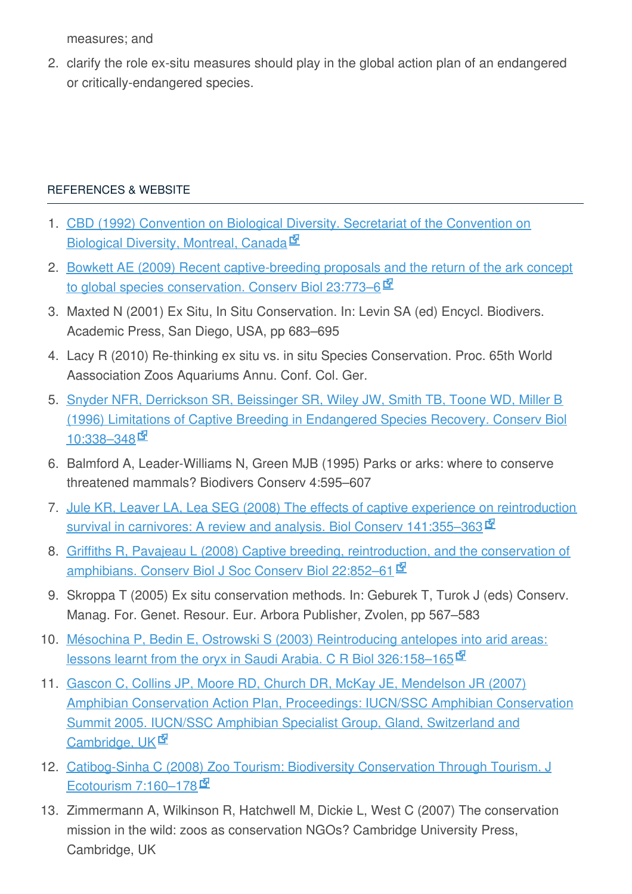measures; and

2. clarify the role ex-situ measures should play in the global action plan of an endangered or critically-endangered species.

# [REFERENCES](javascript:void(0)) & WEBSITE

- <span id="page-3-0"></span>1. CBD (1992) Convention on Biological Diversity. Secretariat of the [Convention](https://www.cbd.int/doc/legal/cbd-en.pdf) on Biological Diversity, Montreal, Canada<sup>ry</sup>
- <span id="page-3-1"></span>2. Bowkett AE (2009) Recent [captive-breeding](http://labs.russell.wisc.edu/peery/files/2011/12/Bowkett-2009-The-Ark-Concept-ConsBio.pdf) proposals and the return of the ark concept to global species conservation. Conserv Biol 23:773–6  $\Phi$
- <span id="page-3-6"></span>3. Maxted N (2001) Ex Situ, In Situ Conservation. In: Levin SA (ed) Encycl. Biodivers. Academic Press, San Diego, USA, pp 683–695
- <span id="page-3-2"></span>4. Lacy R (2010) Re-thinking ex situ vs. in situ Species Conservation. Proc. 65th World Aassociation Zoos Aquariums Annu. Conf. Col. Ger.
- <span id="page-3-3"></span>5. Snyder NFR, Derrickson SR, Beissinger SR, Wiley JW, Smith TB, Toone WD, Miller B (1996) Limitations of Captive Breeding in [Endangered](https://www.cnr.berkeley.edu/~beis/BeissingerLab/Steve) Species Recovery. Conserv Biol 10:338-348
- <span id="page-3-4"></span>6. Balmford A, Leader-Williams N, Green MJB (1995) Parks or arks: where to conserve threatened mammals? Biodivers Conserv 4:595–607
- <span id="page-3-5"></span>7. Jule KR, Leaver LA, Lea SEG (2008) The effects of captive experience on [reintroduction](http://www.catsg.org/cheetah/05_library/5_3_publications/I_and_J/Jule_et_al_2008_Effect_of_captive_experience_on_reintroduction_success_of_carnivores.pdf) survival in carnivores: A review and analysis. Biol Conserv 141:355–363
- 8. Griffiths R, Pavajeau L (2008) Captive breeding, [reintroduction,](http://www.cfr.washington.edu/classes.esrm.150/readings/fulltext.pdf) and the conservation of amphibians. Conserv Biol J Soc Conserv Biol 22:852-61 M
- <span id="page-3-7"></span>9. Skroppa T (2005) Ex situ conservation methods. In: Geburek T, Turok J (eds) Conserv. Manag. For. Genet. Resour. Eur. Arbora Publisher, Zvolen, pp 567–583
- <span id="page-3-8"></span>10. Mésochina P, Bedin E, Ostrowski S (2003) [Reintroducing](http://nwrc.gov.sa/NWRC_ENG/Publications_files/1-2003-006.pdf) antelopes into arid areas: lessons learnt from the oryx in Saudi Arabia. C R Biol 326:158–165
- <span id="page-3-9"></span>11. Gascon C, Collins JP, Moore RD, Church DR, McKay JE, Mendelson JR (2007) Amphibian [Conservation](http://www.amphibianark.org/pdf/ACAP.pdf) Action Plan, Proceedings: IUCN/SSC Amphibian Conservation Summit 2005. IUCN/SSC Amphibian Specialist Group, Gland, Switzerland and Cambridge, UK<sup>I</sup>
- <span id="page-3-10"></span>12. [Catibog-Sinha](ftp://ftp.puce.edu.ec/Facultades/CienciasHumanas/Ecoturismo/ArticulosTurismo/Art%C3%ADculos cient%C3%ADficos/Ecoturismo y la Conservacion biodiversidad/2009/zoo_tourism.pdf) C (2008) Zoo Tourism: Biodiversity Conservation Through Tourism. J Ecotourism 7:160-178 $\Phi$
- <span id="page-3-11"></span>13. Zimmermann A, Wilkinson R, Hatchwell M, Dickie L, West C (2007) The conservation mission in the wild: zoos as conservation NGOs? Cambridge University Press, Cambridge, UK